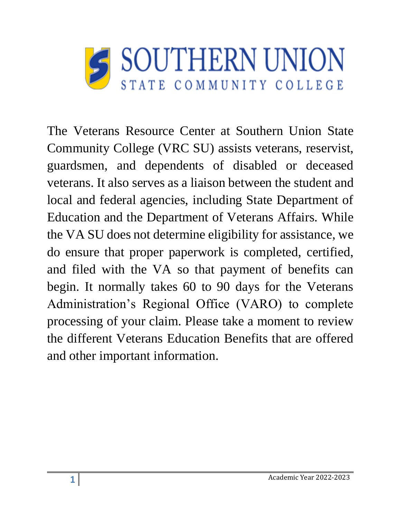

The Veterans Resource Center at Southern Union State Community College (VRC SU) assists veterans, reservist, guardsmen, and dependents of disabled or deceased veterans. It also serves as a liaison between the student and local and federal agencies, including State Department of Education and the Department of Veterans Affairs. While the VA SU does not determine eligibility for assistance, we do ensure that proper paperwork is completed, certified, and filed with the VA so that payment of benefits can begin. It normally takes 60 to 90 days for the Veterans Administration's Regional Office (VARO) to complete processing of your claim. Please take a moment to review the different Veterans Education Benefits that are offered and other important information.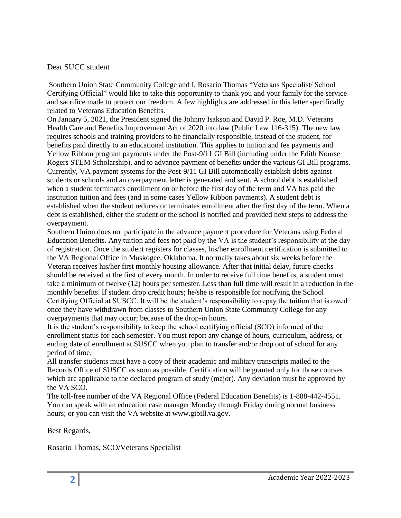#### Dear SUCC student

Southern Union State Community College and I, Rosario Thomas "Veterans Specialist/ School Certifying Official" would like to take this opportunity to thank you and your family for the service and sacrifice made to protect our freedom. A few highlights are addressed in this letter specifically related to Veterans Education Benefits.

On January 5, 2021, the President signed the Johnny Isakson and David P. Roe, M.D. Veterans Health Care and Benefits Improvement Act of 2020 into law (Public Law 116-315). The new law requires schools and training providers to be financially responsible, instead of the student, for benefits paid directly to an educational institution. This applies to tuition and fee payments and Yellow Ribbon program payments under the Post-9/11 GI Bill (including under the Edith Nourse Rogers STEM Scholarship), and to advance payment of benefits under the various GI Bill programs. Currently, VA payment systems for the Post-9/11 GI Bill automatically establish debts against students or schools and an overpayment letter is generated and sent. A school debt is established when a student terminates enrollment on or before the first day of the term and VA has paid the institution tuition and fees (and in some cases Yellow Ribbon payments). A student debt is established when the student reduces or terminates enrollment after the first day of the term. When a debt is established, either the student or the school is notified and provided next steps to address the overpayment.

Southern Union does not participate in the advance payment procedure for Veterans using Federal Education Benefits. Any tuition and fees not paid by the VA is the student's responsibility at the day of registration. Once the student registers for classes, his/her enrollment certification is submitted to the VA Regional Office in Muskogee, Oklahoma. It normally takes about six weeks before the Veteran receives his/her first monthly housing allowance. After that initial delay, future checks should be received at the first of every month. In order to receive full time benefits, a student must take a minimum of twelve (12) hours per semester. Less than full time will result in a reduction in the monthly benefits. If student drop credit hours; he/she is responsible for notifying the School Certifying Official at SUSCC. It will be the student's responsibility to repay the tuition that is owed once they have withdrawn from classes to Southern Union State Community College for any overpayments that may occur; because of the drop-in hours.

It is the student's responsibility to keep the school certifying official (SCO) informed of the enrollment status for each semester. You must report any change of hours, curriculum, address, or ending date of enrollment at SUSCC when you plan to transfer and/or drop out of school for any period of time.

All transfer students must have a copy of their academic and military transcripts mailed to the Records Office of SUSCC as soon as possible. Certification will be granted only for those courses which are applicable to the declared program of study (major). Any deviation must be approved by the VA SCO.

The toll-free number of the VA Regional Office (Federal Education Benefits) is 1-888-442-4551. You can speak with an education case manager Monday through Friday during normal business hours; or you can visit the VA website at www.gibill.va.gov.

Best Regards,

Rosario Thomas, SCO/Veterans Specialist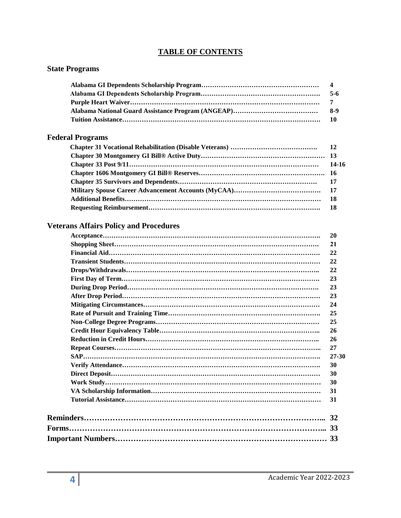#### **TABLE OF CONTENTS**

| <b>State Programs</b>                         |                         |
|-----------------------------------------------|-------------------------|
|                                               | $\overline{\mathbf{4}}$ |
|                                               | $5-6$                   |
|                                               | 7                       |
|                                               | $8-9$                   |
|                                               | 10                      |
| <b>Federal Programs</b>                       |                         |
|                                               | 12                      |
|                                               | 13                      |
|                                               | 14-16                   |
|                                               | 16                      |
|                                               | 17                      |
|                                               | 17                      |
|                                               | 18                      |
|                                               | 18                      |
| <b>Veterans Affairs Policy and Procedures</b> |                         |
|                                               |                         |
|                                               | <b>20</b>               |
|                                               | 21                      |
|                                               | 22                      |
|                                               | 22                      |
|                                               | 22                      |
|                                               | 23                      |
|                                               | 23                      |
|                                               | 23                      |
|                                               | 24                      |
|                                               | 25                      |
|                                               | 25                      |
|                                               | 26                      |
|                                               | 26                      |
|                                               | 27                      |
| SAP.                                          | $27 - 30$               |
|                                               | 30                      |
|                                               | 30                      |
|                                               | 30                      |
|                                               | 31                      |
|                                               | 31                      |
|                                               | 32                      |
|                                               |                         |
|                                               |                         |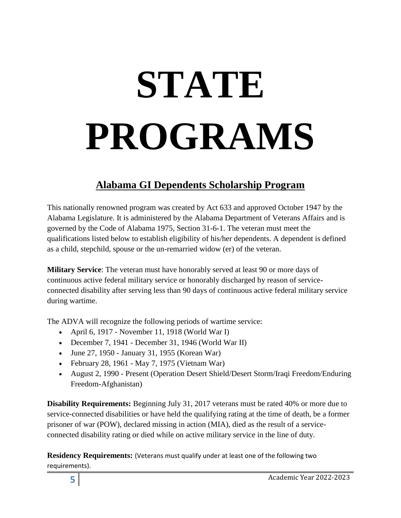# **STATE PROGRAMS**

## **Alabama GI Dependents Scholarship Program**

This nationally renowned program was created by Act 633 and approved October 1947 by the Alabama Legislature. It is administered by the Alabama Department of Veterans Affairs and is governed by the Code of Alabama 1975, Section 31-6-1. The veteran must meet the qualifications listed below to establish eligibility of his/her dependents. A dependent is defined as a child, stepchild, spouse or the un-remarried widow (er) of the veteran.

**Military Service**: The veteran must have honorably served at least 90 or more days of continuous active federal military service or honorably discharged by reason of serviceconnected disability after serving less than 90 days of continuous active federal military service during wartime.

The ADVA will recognize the following periods of wartime service:

- April 6, 1917 November 11, 1918 (World War I)
- December 7, 1941 December 31, 1946 (World War II)
- June 27, 1950 January 31, 1955 (Korean War)
- February 28, 1961 May 7, 1975 (Vietnam War)
- August 2, 1990 Present (Operation Desert Shield/Desert Storm/Iraqi Freedom/Enduring Freedom-Afghanistan)

**Disability Requirements:** Beginning July 31, 2017 veterans must be rated 40% or more due to service-connected disabilities or have held the qualifying rating at the time of death, be a former prisoner of war (POW), declared missing in action (MIA), died as the result of a serviceconnected disability rating or died while on active military service in the line of duty.

**Residency Requirements:** (Veterans must qualify under at least one of the following two requirements).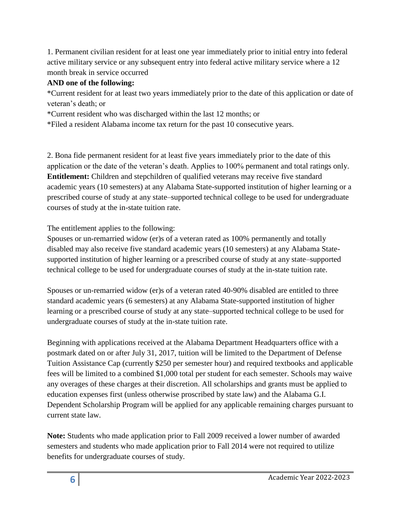1. Permanent civilian resident for at least one year immediately prior to initial entry into federal active military service or any subsequent entry into federal active military service where a 12 month break in service occurred

#### **AND one of the following:**

\*Current resident for at least two years immediately prior to the date of this application or date of veteran's death; or

\*Current resident who was discharged within the last 12 months; or

\*Filed a resident Alabama income tax return for the past 10 consecutive years.

2. Bona fide permanent resident for at least five years immediately prior to the date of this application or the date of the veteran's death. Applies to 100% permanent and total ratings only. **Entitlement:** Children and stepchildren of qualified veterans may receive five standard academic years (10 semesters) at any Alabama State-supported institution of higher learning or a prescribed course of study at any state–supported technical college to be used for undergraduate courses of study at the in-state tuition rate.

The entitlement applies to the following:

Spouses or un-remarried widow (er)s of a veteran rated as 100% permanently and totally disabled may also receive five standard academic years (10 semesters) at any Alabama Statesupported institution of higher learning or a prescribed course of study at any state–supported technical college to be used for undergraduate courses of study at the in-state tuition rate.

Spouses or un-remarried widow (er)s of a veteran rated 40-90% disabled are entitled to three standard academic years (6 semesters) at any Alabama State-supported institution of higher learning or a prescribed course of study at any state–supported technical college to be used for undergraduate courses of study at the in-state tuition rate.

Beginning with applications received at the Alabama Department Headquarters office with a postmark dated on or after July 31, 2017, tuition will be limited to the Department of Defense Tuition Assistance Cap (currently \$250 per semester hour) and required textbooks and applicable fees will be limited to a combined \$1,000 total per student for each semester. Schools may waive any overages of these charges at their discretion. All scholarships and grants must be applied to education expenses first (unless otherwise proscribed by state law) and the Alabama G.I. Dependent Scholarship Program will be applied for any applicable remaining charges pursuant to current state law.

**Note:** Students who made application prior to Fall 2009 received a lower number of awarded semesters and students who made application prior to Fall 2014 were not required to utilize benefits for undergraduate courses of study.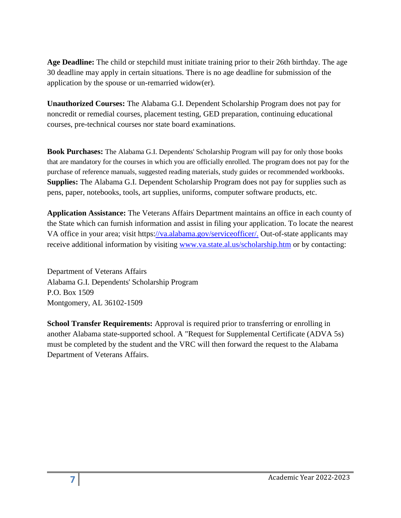**Age Deadline:** The child or stepchild must initiate training prior to their 26th birthday. The age 30 deadline may apply in certain situations. There is no age deadline for submission of the application by the spouse or un-remarried widow(er).

**Unauthorized Courses:** The Alabama G.I. Dependent Scholarship Program does not pay for noncredit or remedial courses, placement testing, GED preparation, continuing educational courses, pre-technical courses nor state board examinations.

**Book Purchases:** The Alabama G.I. Dependents' Scholarship Program will pay for only those books that are mandatory for the courses in which you are officially enrolled. The program does not pay for the purchase of reference manuals, suggested reading materials, study guides or recommended workbooks. **Supplies:** The Alabama G.I. Dependent Scholarship Program does not pay for supplies such as pens, paper, notebooks, tools, art supplies, uniforms, computer software products, etc.

**Application Assistance:** The Veterans Affairs Department maintains an office in each county of the State which can furnish information and assist in filing your application. To locate the nearest VA office in your area; visit https[://va.alabama.gov/serviceofficer/.](file:///H:/ROSARIO/AL%20SCH.docx) Out-of-state applicants may receive additional information by visiting [www.va.state.al.us/scholarship.htm](file:///H:/ROSARIO/www.va.state.al.us/scholarship.htm) or by contacting:

Department of Veterans Affairs Alabama G.I. Dependents' Scholarship Program P.O. Box 1509 Montgomery, AL 36102-1509

**School Transfer Requirements:** Approval is required prior to transferring or enrolling in another Alabama state-supported school. A "Request for Supplemental Certificate (ADVA 5s) must be completed by the student and the VRC will then forward the request to the Alabama Department of Veterans Affairs.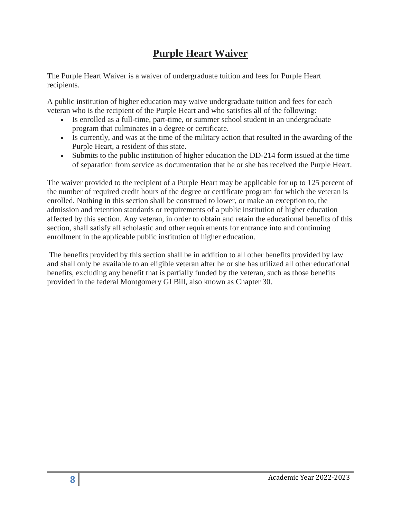## **Purple Heart Waiver**

The Purple Heart Waiver is a waiver of undergraduate tuition and fees for Purple Heart recipients.

A public institution of higher education may waive undergraduate tuition and fees for each veteran who is the recipient of the Purple Heart and who satisfies all of the following:

- Is enrolled as a full-time, part-time, or summer school student in an undergraduate program that culminates in a degree or certificate.
- Is currently, and was at the time of the military action that resulted in the awarding of the Purple Heart, a resident of this state.
- Submits to the public institution of higher education the DD-214 form issued at the time of separation from service as documentation that he or she has received the Purple Heart.

The waiver provided to the recipient of a Purple Heart may be applicable for up to 125 percent of the number of required credit hours of the degree or certificate program for which the veteran is enrolled. Nothing in this section shall be construed to lower, or make an exception to, the admission and retention standards or requirements of a public institution of higher education affected by this section. Any veteran, in order to obtain and retain the educational benefits of this section, shall satisfy all scholastic and other requirements for entrance into and continuing enrollment in the applicable public institution of higher education.

The benefits provided by this section shall be in addition to all other benefits provided by law and shall only be available to an eligible veteran after he or she has utilized all other educational benefits, excluding any benefit that is partially funded by the veteran, such as those benefits provided in the federal Montgomery GI Bill, also known as Chapter 30.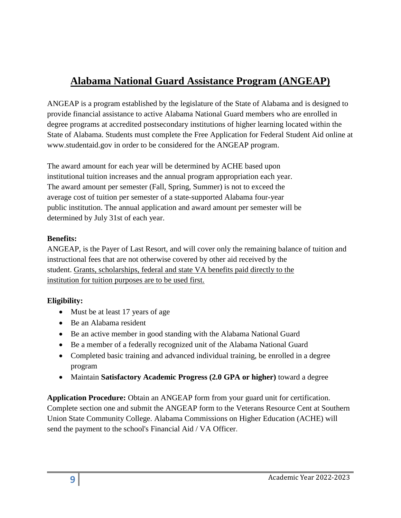# **Alabama National Guard Assistance Program (ANGEAP)**

ANGEAP is a program established by the legislature of the State of Alabama and is designed to provide financial assistance to active Alabama National Guard members who are enrolled in degree programs at accredited postsecondary institutions of higher learning located within the State of Alabama. Students must complete the Free Application for Federal Student Aid online at www.studentaid.gov in order to be considered for the ANGEAP program.

The award amount for each year will be determined by ACHE based upon institutional tuition increases and the annual program appropriation each year. The award amount per semester (Fall, Spring, Summer) is not to exceed the average cost of tuition per semester of a state-supported Alabama four-year public institution. The annual application and award amount per semester will be determined by July 31st of each year.

#### **Benefits:**

ANGEAP, is the Payer of Last Resort, and will cover only the remaining balance of tuition and instructional fees that are not otherwise covered by other aid received by the student. Grants, scholarships, federal and state VA benefits paid directly to the institution for tuition purposes are to be used first.

#### **Eligibility:**

- Must be at least 17 years of age
- Be an Alabama resident
- Be an active member in good standing with the Alabama National Guard
- Be a member of a federally recognized unit of the Alabama National Guard
- Completed basic training and advanced individual training, be enrolled in a degree program
- Maintain **Satisfactory Academic Progress (2.0 GPA or higher)** toward a degree

**Application Procedure:** Obtain an ANGEAP form from your guard unit for certification. Complete section one and submit the ANGEAP form to the Veterans Resource Cent at Southern Union State Community College. Alabama Commissions on Higher Education (ACHE) will send the payment to the school's Financial Aid / VA Officer.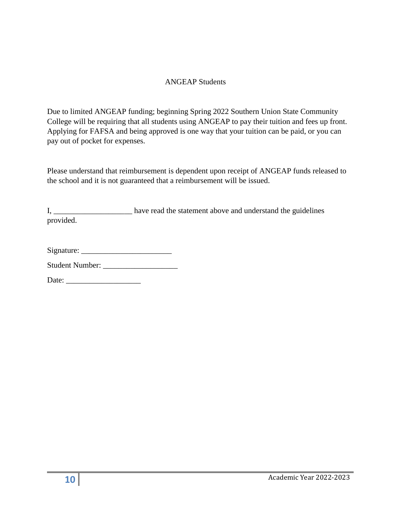#### ANGEAP Students

Due to limited ANGEAP funding; beginning Spring 2022 Southern Union State Community College will be requiring that all students using ANGEAP to pay their tuition and fees up front. Applying for FAFSA and being approved is one way that your tuition can be paid, or you can pay out of pocket for expenses.

Please understand that reimbursement is dependent upon receipt of ANGEAP funds released to the school and it is not guaranteed that a reimbursement will be issued.

I, have read the statement above and understand the guidelines provided.

| Signature: |  |
|------------|--|
|            |  |

Student Number: \_\_\_\_\_\_\_\_\_\_\_\_\_\_\_\_\_\_\_

Date: \_\_\_\_\_\_\_\_\_\_\_\_\_\_\_\_\_\_\_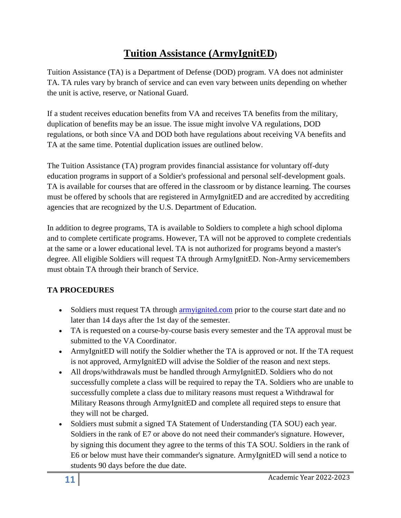## **Tuition Assistance (ArmyIgnitED)**

Tuition Assistance (TA) is a Department of Defense (DOD) program. VA does not administer TA. TA rules vary by branch of service and can even vary between units depending on whether the unit is active, reserve, or National Guard.

If a student receives education benefits from VA and receives TA benefits from the military, duplication of benefits may be an issue. The issue might involve VA regulations, DOD regulations, or both since VA and DOD both have regulations about receiving VA benefits and TA at the same time. Potential duplication issues are outlined below.

The Tuition Assistance (TA) program provides financial assistance for voluntary off-duty education programs in support of a Soldier's professional and personal self-development goals. TA is available for courses that are offered in the classroom or by distance learning. The courses must be offered by schools that are registered in ArmyIgnitED and are accredited by accrediting agencies that are recognized by the U.S. Department of Education.

In addition to degree programs, TA is available to Soldiers to complete a high school diploma and to complete certificate programs. However, TA will not be approved to complete credentials at the same or a lower educational level. TA is not authorized for programs beyond a master's degree. All eligible Soldiers will request TA through ArmyIgnitED. Non-Army servicemembers must obtain TA through their branch of Service.

#### **TA PROCEDURES**

- Soldiers must request TA through [armyignited.com](file:///C:/Users/rthomas/Documents/armyignited.htm) prior to the course start date and no later than 14 days after the 1st day of the semester.
- TA is requested on a course-by-course basis every semester and the TA approval must be submitted to the VA Coordinator.
- ArmyIgnitED will notify the Soldier whether the TA is approved or not. If the TA request is not approved, ArmyIgnitED will advise the Soldier of the reason and next steps.
- All drops/withdrawals must be handled through ArmyIgnitED. Soldiers who do not successfully complete a class will be required to repay the TA. Soldiers who are unable to successfully complete a class due to military reasons must request a Withdrawal for Military Reasons through ArmyIgnitED and complete all required steps to ensure that they will not be charged.
- Soldiers must submit a signed TA Statement of Understanding (TA SOU) each year. Soldiers in the rank of E7 or above do not need their commander's signature. However, by signing this document they agree to the terms of this TA SOU. Soldiers in the rank of E6 or below must have their commander's signature. ArmyIgnitED will send a notice to students 90 days before the due date.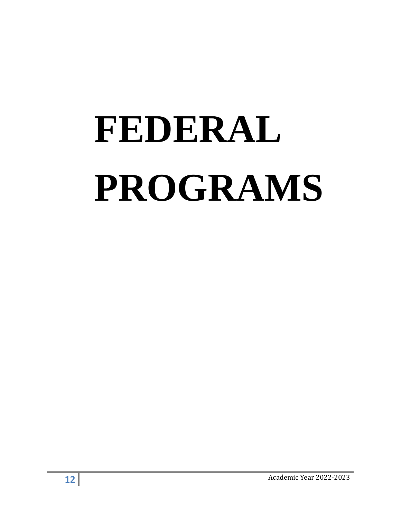# **FEDERAL PROGRAMS**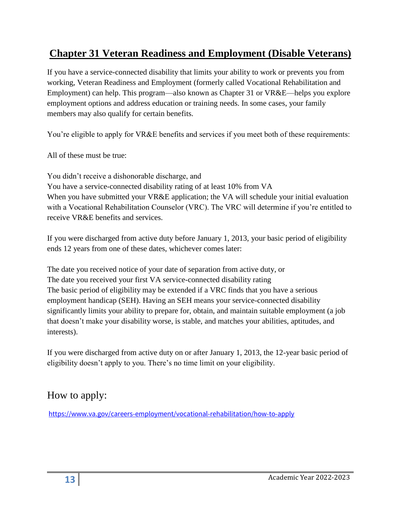## **Chapter 31 Veteran Readiness and Employment (Disable Veterans)**

If you have a service-connected disability that limits your ability to work or prevents you from working, Veteran Readiness and Employment (formerly called Vocational Rehabilitation and Employment) can help. This program—also known as Chapter 31 or VR&E—helps you explore employment options and address education or training needs. In some cases, your family members may also qualify for certain benefits.

You're eligible to apply for VR&E benefits and services if you meet both of these requirements:

All of these must be true:

You didn't receive a dishonorable discharge, and You have a service-connected disability rating of at least 10% from VA When you have submitted your VR&E application; the VA will schedule your initial evaluation with a Vocational Rehabilitation Counselor (VRC). The VRC will determine if you're entitled to receive VR&E benefits and services.

If you were discharged from active duty before January 1, 2013, your basic period of eligibility ends 12 years from one of these dates, whichever comes later:

The date you received notice of your date of separation from active duty, or The date you received your first VA service-connected disability rating The basic period of eligibility may be extended if a VRC finds that you have a serious employment handicap (SEH). Having an SEH means your service-connected disability significantly limits your ability to prepare for, obtain, and maintain suitable employment (a job that doesn't make your disability worse, is stable, and matches your abilities, aptitudes, and interests).

If you were discharged from active duty on or after January 1, 2013, the 12-year basic period of eligibility doesn't apply to you. There's no time limit on your eligibility.

## How to apply:

<https://www.va.gov/careers-employment/vocational-rehabilitation/how-to-apply>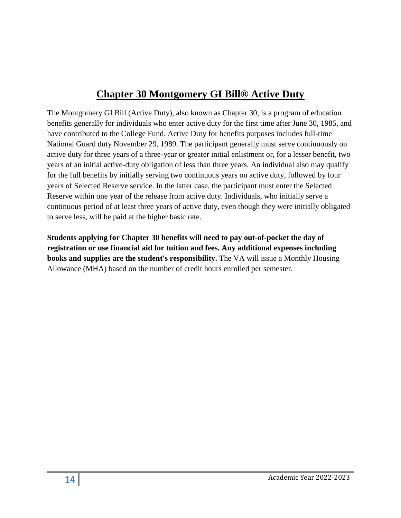## **Chapter 30 Montgomery GI Bill® Active Duty**

The Montgomery GI Bill (Active Duty), also known as Chapter 30, is a program of education benefits generally for individuals who enter active duty for the first time after June 30, 1985, and have contributed to the College Fund. Active Duty for benefits purposes includes full-time National Guard duty November 29, 1989. The participant generally must serve continuously on active duty for three years of a three-year or greater initial enlistment or, for a lesser benefit, two years of an initial active-duty obligation of less than three years. An individual also may qualify for the full benefits by initially serving two continuous years on active duty, followed by four years of Selected Reserve service. In the latter case, the participant must enter the Selected Reserve within one year of the release from active duty. Individuals, who initially serve a continuous period of at least three years of active duty, even though they were initially obligated to serve less, will be paid at the higher basic rate.

**Students applying for Chapter 30 benefits will need to pay out-of-pocket the day of registration or use financial aid for tuition and fees. Any additional expenses including books and supplies are the student's responsibility.** The VA will issue a Monthly Housing Allowance (MHA) based on the number of credit hours enrolled per semester.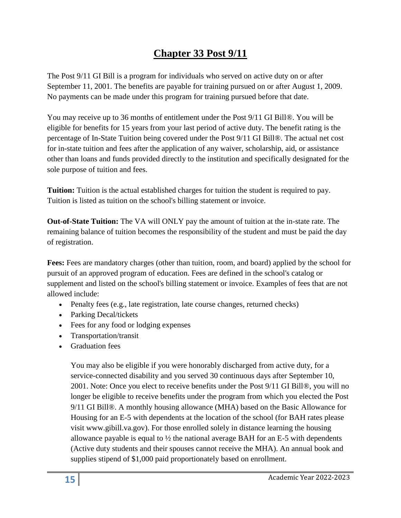## **Chapter 33 Post 9/11**

The Post 9/11 GI Bill is a program for individuals who served on active duty on or after September 11, 2001. The benefits are payable for training pursued on or after August 1, 2009. No payments can be made under this program for training pursued before that date.

You may receive up to 36 months of entitlement under the Post 9/11 GI Bill®. You will be eligible for benefits for 15 years from your last period of active duty. The benefit rating is the percentage of In-State Tuition being covered under the Post 9/11 GI Bill®. The actual net cost for in-state tuition and fees after the application of any waiver, scholarship, aid, or assistance other than loans and funds provided directly to the institution and specifically designated for the sole purpose of tuition and fees.

**Tuition:** Tuition is the actual established charges for tuition the student is required to pay. Tuition is listed as tuition on the school's billing statement or invoice.

**Out-of-State Tuition:** The VA will ONLY pay the amount of tuition at the in-state rate. The remaining balance of tuition becomes the responsibility of the student and must be paid the day of registration.

**Fees:** Fees are mandatory charges (other than tuition, room, and board) applied by the school for pursuit of an approved program of education. Fees are defined in the school's catalog or supplement and listed on the school's billing statement or invoice. Examples of fees that are not allowed include:

- Penalty fees (e.g., late registration, late course changes, returned checks)
- Parking Decal/tickets
- Fees for any food or lodging expenses
- Transportation/transit
- Graduation fees

You may also be eligible if you were honorably discharged from active duty, for a service-connected disability and you served 30 continuous days after September 10, 2001. Note: Once you elect to receive benefits under the Post 9/11 GI Bill®, you will no longer be eligible to receive benefits under the program from which you elected the Post 9/11 GI Bill®. A monthly housing allowance (MHA) based on the Basic Allowance for Housing for an E-5 with dependents at the location of the school (for BAH rates please visit www.gibill.va.gov). For those enrolled solely in distance learning the housing allowance payable is equal to  $\frac{1}{2}$  the national average BAH for an E-5 with dependents (Active duty students and their spouses cannot receive the MHA). An annual book and supplies stipend of \$1,000 paid proportionately based on enrollment.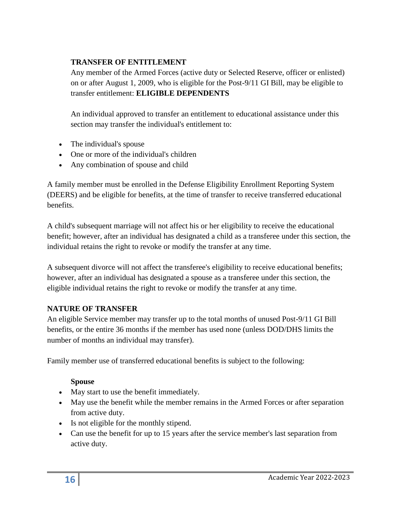#### **TRANSFER OF ENTITLEMENT**

Any member of the Armed Forces (active duty or Selected Reserve, officer or enlisted) on or after August 1, 2009, who is eligible for the Post-9/11 GI Bill, may be eligible to transfer entitlement: **ELIGIBLE DEPENDENTS**

An individual approved to transfer an entitlement to educational assistance under this section may transfer the individual's entitlement to:

- The individual's spouse
- One or more of the individual's children
- Any combination of spouse and child

A family member must be enrolled in the Defense Eligibility Enrollment Reporting System (DEERS) and be eligible for benefits, at the time of transfer to receive transferred educational benefits.

A child's subsequent marriage will not affect his or her eligibility to receive the educational benefit; however, after an individual has designated a child as a transferee under this section, the individual retains the right to revoke or modify the transfer at any time.

A subsequent divorce will not affect the transferee's eligibility to receive educational benefits; however, after an individual has designated a spouse as a transferee under this section, the eligible individual retains the right to revoke or modify the transfer at any time.

#### **NATURE OF TRANSFER**

An eligible Service member may transfer up to the total months of unused Post-9/11 GI Bill benefits, or the entire 36 months if the member has used none (unless DOD/DHS limits the number of months an individual may transfer).

Family member use of transferred educational benefits is subject to the following:

#### **Spouse**

- May start to use the benefit immediately.
- May use the benefit while the member remains in the Armed Forces or after separation from active duty.
- Is not eligible for the monthly stipend.
- Can use the benefit for up to 15 years after the service member's last separation from active duty.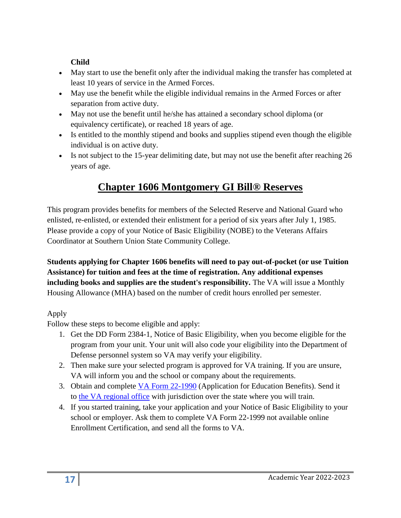#### **Child**

- May start to use the benefit only after the individual making the transfer has completed at least 10 years of service in the Armed Forces.
- May use the benefit while the eligible individual remains in the Armed Forces or after separation from active duty.
- May not use the benefit until he/she has attained a secondary school diploma (or equivalency certificate), or reached 18 years of age.
- Is entitled to the monthly stipend and books and supplies stipend even though the eligible individual is on active duty.
- Is not subject to the 15-year delimiting date, but may not use the benefit after reaching 26 years of age.

# **Chapter 1606 Montgomery GI Bill® Reserves**

This program provides benefits for members of the Selected Reserve and National Guard who enlisted, re-enlisted, or extended their enlistment for a period of six years after July 1, 1985. Please provide a copy of your Notice of Basic Eligibility (NOBE) to the Veterans Affairs Coordinator at Southern Union State Community College.

#### **Students applying for Chapter 1606 benefits will need to pay out-of-pocket (or use Tuition Assistance) for tuition and fees at the time of registration. Any additional expenses including books and supplies are the student's responsibility.** The VA will issue a Monthly Housing Allowance (MHA) based on the number of credit hours enrolled per semester.

#### Apply

Follow these steps to become eligible and apply:

- 1. Get the DD Form 2384-1, Notice of Basic Eligibility, when you become eligible for the program from your unit. Your unit will also code your eligibility into the Department of Defense personnel system so VA may verify your eligibility.
- 2. Then make sure your selected program is approved for VA training. If you are unsure, VA will inform you and the school or company about the requirements.
- 3. Obtain and complete [VA Form 22-1990](http://www.vba.va.gov/pubs/forms/VBA-22-1990-ARE.pdf) (Application for Education Benefits). Send it to [the VA regional office](https://www.benefits.va.gov/gibill/regional_processing.asp) with jurisdiction over the state where you will train.
- 4. If you started training, take your application and your Notice of Basic Eligibility to your school or employer. Ask them to complete VA Form 22-1999 not available online Enrollment Certification, and send all the forms to VA.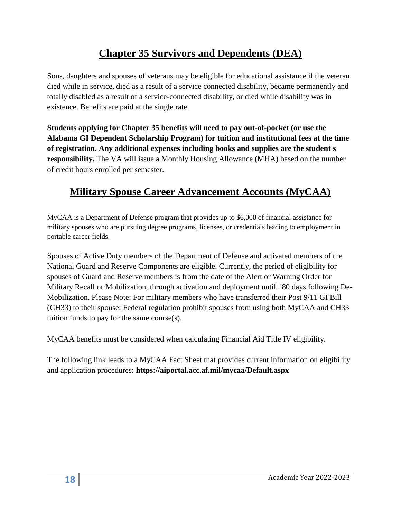## **Chapter 35 Survivors and Dependents (DEA)**

Sons, daughters and spouses of veterans may be eligible for educational assistance if the veteran died while in service, died as a result of a service connected disability, became permanently and totally disabled as a result of a service-connected disability, or died while disability was in existence. Benefits are paid at the single rate.

**Students applying for Chapter 35 benefits will need to pay out-of-pocket (or use the Alabama GI Dependent Scholarship Program) for tuition and institutional fees at the time of registration. Any additional expenses including books and supplies are the student's responsibility.** The VA will issue a Monthly Housing Allowance (MHA) based on the number of credit hours enrolled per semester.

# **Military Spouse Career Advancement Accounts (MyCAA)**

MyCAA is a Department of Defense program that provides up to \$6,000 of financial assistance for military spouses who are pursuing degree programs, licenses, or credentials leading to employment in portable career fields.

Spouses of Active Duty members of the Department of Defense and activated members of the National Guard and Reserve Components are eligible. Currently, the period of eligibility for spouses of Guard and Reserve members is from the date of the Alert or Warning Order for Military Recall or Mobilization, through activation and deployment until 180 days following De-Mobilization. Please Note: For military members who have transferred their Post 9/11 GI Bill (CH33) to their spouse: Federal regulation prohibit spouses from using both MyCAA and CH33 tuition funds to pay for the same course(s).

MyCAA benefits must be considered when calculating Financial Aid Title IV eligibility.

The following link leads to a MyCAA Fact Sheet that provides current information on eligibility and application procedures: **<https://aiportal.acc.af.mil/mycaa/Default.aspx>**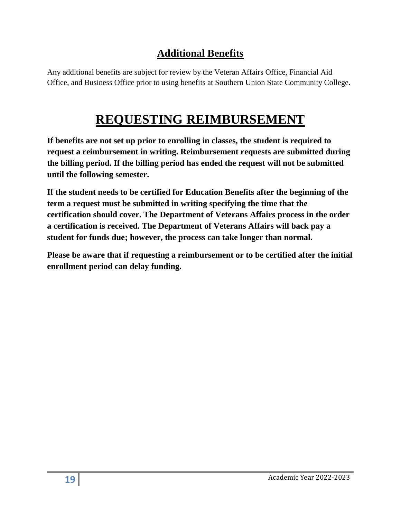#### **Additional Benefits**

Any additional benefits are subject for review by the Veteran Affairs Office, Financial Aid Office, and Business Office prior to using benefits at Southern Union State Community College.

# **REQUESTING REIMBURSEMENT**

**If benefits are not set up prior to enrolling in classes, the student is required to request a reimbursement in writing. Reimbursement requests are submitted during the billing period. If the billing period has ended the request will not be submitted until the following semester.** 

**If the student needs to be certified for Education Benefits after the beginning of the term a request must be submitted in writing specifying the time that the certification should cover. The Department of Veterans Affairs process in the order a certification is received. The Department of Veterans Affairs will back pay a student for funds due; however, the process can take longer than normal.** 

**Please be aware that if requesting a reimbursement or to be certified after the initial enrollment period can delay funding.**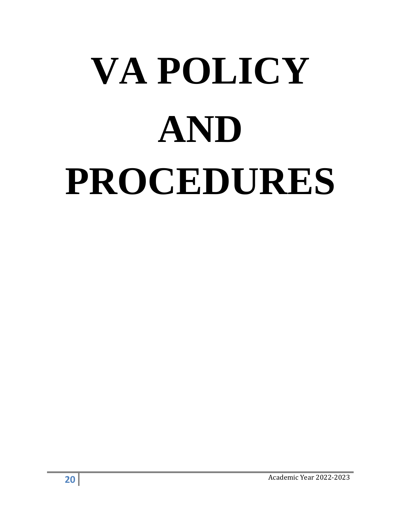# **VA POLICY AND PROCEDURES**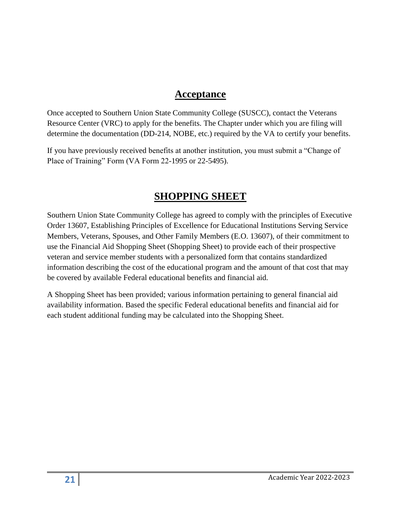#### **Acceptance**

Once accepted to Southern Union State Community College (SUSCC), contact the Veterans Resource Center (VRC) to apply for the benefits. The Chapter under which you are filing will determine the documentation (DD-214, NOBE, etc.) required by the VA to certify your benefits.

If you have previously received benefits at another institution, you must submit a "Change of Place of Training" Form (VA Form 22-1995 or 22-5495).

## **SHOPPING SHEET**

Southern Union State Community College has agreed to comply with the principles of Executive Order 13607, Establishing Principles of Excellence for Educational Institutions Serving Service Members, Veterans, Spouses, and Other Family Members (E.O. 13607), of their commitment to use the Financial Aid Shopping Sheet (Shopping Sheet) to provide each of their prospective veteran and service member students with a personalized form that contains standardized information describing the cost of the educational program and the amount of that cost that may be covered by available Federal educational benefits and financial aid.

A Shopping Sheet has been provided; various information pertaining to general financial aid availability information. Based the specific Federal educational benefits and financial aid for each student additional funding may be calculated into the Shopping Sheet.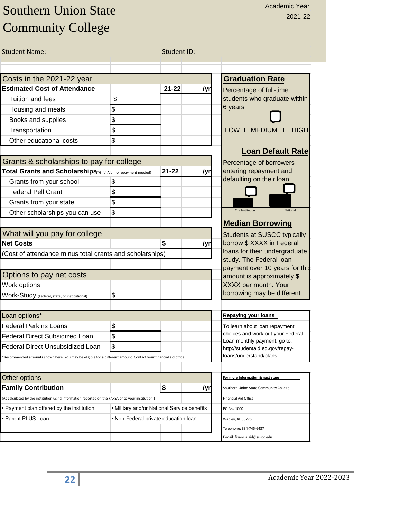# Southern Union State Community College

| <b>Student Name:</b>                                                                                           |                                             | Student ID: |     |                                                                 |
|----------------------------------------------------------------------------------------------------------------|---------------------------------------------|-------------|-----|-----------------------------------------------------------------|
|                                                                                                                |                                             |             |     |                                                                 |
| Costs in the 2021-22 year                                                                                      |                                             |             |     | <b>Graduation Rate</b>                                          |
| <b>Estimated Cost of Attendance</b>                                                                            |                                             | $21 - 22$   | /yr | Percentage of full-time                                         |
| Tuition and fees                                                                                               | \$                                          |             |     | students who graduate within                                    |
| Housing and meals                                                                                              | \$                                          |             |     | 6 years                                                         |
| Books and supplies                                                                                             | \$                                          |             |     |                                                                 |
| Transportation                                                                                                 | \$                                          |             |     | <b>LOW</b><br><b>MEDIUM</b><br><b>HIGH</b><br>-1                |
| Other educational costs                                                                                        | \$                                          |             |     |                                                                 |
|                                                                                                                |                                             |             |     | <b>Loan Default Rate</b>                                        |
| Grants & scholarships to pay for college                                                                       |                                             |             |     | Percentage of borrowers                                         |
| Total Grants and Scholarships("Gift" Aid; no repayment needed)                                                 |                                             | $21 - 22$   | /yr | entering repayment and                                          |
| Grants from your school                                                                                        | \$                                          |             |     | defaulting on their loan                                        |
| <b>Federal Pell Grant</b>                                                                                      | \$                                          |             |     |                                                                 |
| Grants from your state                                                                                         | \$                                          |             |     |                                                                 |
| Other scholarships you can use                                                                                 | \$                                          |             |     | <b>This Institution</b><br>National                             |
|                                                                                                                |                                             |             |     | <b>Median Borrowing</b>                                         |
| What will you pay for college                                                                                  |                                             |             |     | <b>Students at SUSCC typically</b>                              |
| <b>Net Costs</b>                                                                                               |                                             | \$          | /yr | borrow \$ XXXX in Federal                                       |
| (Cost of attendance minus total grants and scholarships)                                                       |                                             |             |     | loans for their undergraduate                                   |
|                                                                                                                |                                             |             |     | study. The Federal loan<br>payment over 10 years for this       |
| Options to pay net costs                                                                                       |                                             |             |     | amount is approximately \$                                      |
| Work options                                                                                                   |                                             |             |     | XXXX per month. Your                                            |
| Work-Study (Federal, state, or institutional)                                                                  | \$                                          |             |     | borrowing may be different.                                     |
| Loan options*                                                                                                  |                                             |             |     | <b>Repaying your loans</b>                                      |
| <b>Federal Perkins Loans</b>                                                                                   | \$                                          |             |     | To learn about loan repayment                                   |
| <b>Federal Direct Subsidized Loan</b>                                                                          | \$                                          |             |     | choices and work out your Federal                               |
| <b>Federal Direct Unsubsidized Loan</b>                                                                        | \$                                          |             |     | Loan monthly payment, go to:<br>http://studentaid.ed.gov/repay- |
| *Recommended amounts shown here. You may be eligible for a different amount. Contact your financial aid office |                                             |             |     | loans/understand/plans                                          |
|                                                                                                                |                                             |             |     |                                                                 |
| Other options                                                                                                  |                                             |             |     | For more information & next steps:                              |
| <b>Family Contribution</b>                                                                                     |                                             | \$          | /yr | Southern Union State Community College                          |
| (As calculated by the institution using information reported on the FAFSA or to your institution.)             |                                             |             |     | Financial Aid Office                                            |
| • Payment plan offered by the institution                                                                      | • Military and/or National Service benefits |             |     | PO Box 1000                                                     |
| • Parent PLUS Loan                                                                                             | • Non-Federal private education loan        |             |     | Wadley, AL 36276                                                |
|                                                                                                                |                                             |             |     | Telephone: 334-745-6437                                         |
|                                                                                                                |                                             |             |     | E-mail: financialaid@suscc.edu                                  |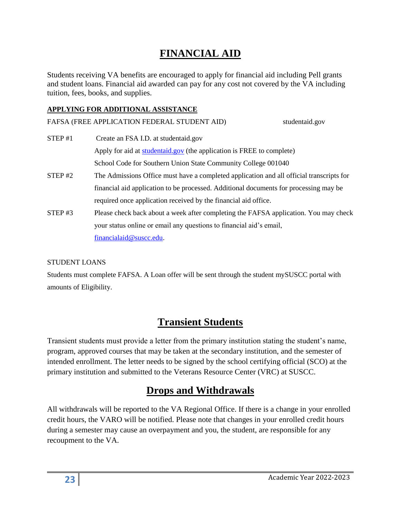## **FINANCIAL AID**

Students receiving VA benefits are encouraged to apply for financial aid including Pell grants and student loans. Financial aid awarded can pay for any cost not covered by the VA including tuition, fees, books, and supplies.

#### **APPLYING FOR ADDITIONAL ASSISTANCE**

FAFSA (FREE APPLICATION FEDERAL STUDENT AID)

| STEP#1 | Create an FSA I.D. at studentaid.gov                                                     |
|--------|------------------------------------------------------------------------------------------|
|        | Apply for aid at studentaid.gov (the application is FREE to complete)                    |
|        | School Code for Southern Union State Community College 001040                            |
| STEP#2 | The Admissions Office must have a completed application and all official transcripts for |
|        | financial aid application to be processed. Additional documents for processing may be    |
|        | required once application received by the financial aid office.                          |
| STEP#3 | Please check back about a week after completing the FAFSA application. You may check     |
|        | your status online or email any questions to financial aid's email,                      |
|        | financialaid@suscc.edu.                                                                  |

#### STUDENT LOANS

Students must complete FAFSA. A Loan offer will be sent through the student mySUSCC portal with amounts of Eligibility.

## **Transient Students**

Transient students must provide a letter from the primary institution stating the student's name, program, approved courses that may be taken at the secondary institution, and the semester of intended enrollment. The letter needs to be signed by the school certifying official (SCO) at the primary institution and submitted to the Veterans Resource Center (VRC) at SUSCC.

#### **Drops and Withdrawals**

All withdrawals will be reported to the VA Regional Office. If there is a change in your enrolled credit hours, the VARO will be notified. Please note that changes in your enrolled credit hours during a semester may cause an overpayment and you, the student, are responsible for any recoupment to the VA.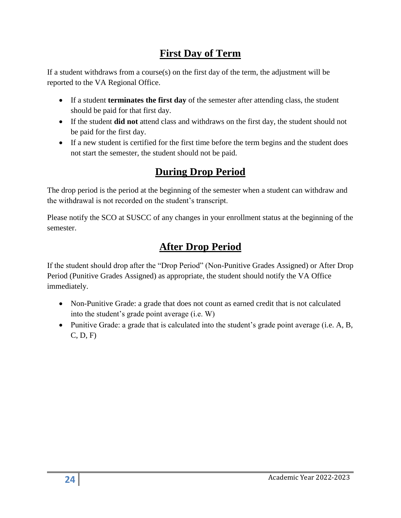#### **First Day of Term**

If a student withdraws from a course(s) on the first day of the term, the adjustment will be reported to the VA Regional Office.

- If a student **terminates the first day** of the semester after attending class, the student should be paid for that first day.
- If the student **did not** attend class and withdraws on the first day, the student should not be paid for the first day.
- If a new student is certified for the first time before the term begins and the student does not start the semester, the student should not be paid.

# **During Drop Period**

The drop period is the period at the beginning of the semester when a student can withdraw and the withdrawal is not recorded on the student's transcript.

Please notify the SCO at SUSCC of any changes in your enrollment status at the beginning of the semester.

# **After Drop Period**

If the student should drop after the "Drop Period" (Non-Punitive Grades Assigned) or After Drop Period (Punitive Grades Assigned) as appropriate, the student should notify the VA Office immediately.

- Non-Punitive Grade: a grade that does not count as earned credit that is not calculated into the student's grade point average (i.e. W)
- Punitive Grade: a grade that is calculated into the student's grade point average (i.e. A, B, C, D, F)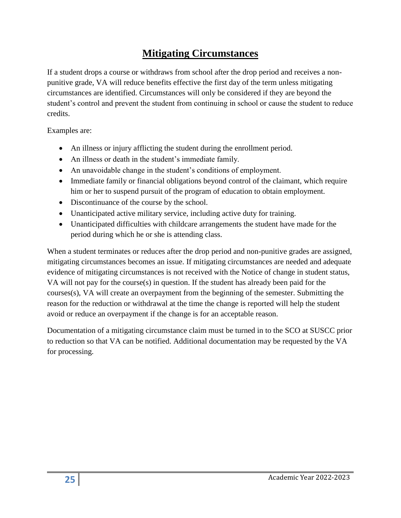## **Mitigating Circumstances**

If a student drops a course or withdraws from school after the drop period and receives a nonpunitive grade, VA will reduce benefits effective the first day of the term unless mitigating circumstances are identified. Circumstances will only be considered if they are beyond the student's control and prevent the student from continuing in school or cause the student to reduce credits.

Examples are:

- An illness or injury afflicting the student during the enrollment period.
- An illness or death in the student's immediate family.
- An unavoidable change in the student's conditions of employment.
- Immediate family or financial obligations beyond control of the claimant, which require him or her to suspend pursuit of the program of education to obtain employment.
- Discontinuance of the course by the school.
- Unanticipated active military service, including active duty for training.
- Unanticipated difficulties with childcare arrangements the student have made for the period during which he or she is attending class.

When a student terminates or reduces after the drop period and non-punitive grades are assigned, mitigating circumstances becomes an issue. If mitigating circumstances are needed and adequate evidence of mitigating circumstances is not received with the Notice of change in student status, VA will not pay for the course(s) in question. If the student has already been paid for the courses(s), VA will create an overpayment from the beginning of the semester. Submitting the reason for the reduction or withdrawal at the time the change is reported will help the student avoid or reduce an overpayment if the change is for an acceptable reason.

Documentation of a mitigating circumstance claim must be turned in to the SCO at SUSCC prior to reduction so that VA can be notified. Additional documentation may be requested by the VA for processing.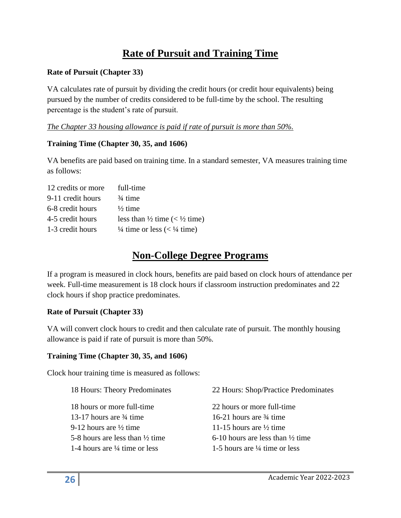## **Rate of Pursuit and Training Time**

#### **Rate of Pursuit (Chapter 33)**

VA calculates rate of pursuit by dividing the credit hours (or credit hour equivalents) being pursued by the number of credits considered to be full-time by the school. The resulting percentage is the student's rate of pursuit.

#### *The Chapter 33 housing allowance is paid if rate of pursuit is more than 50%.*

#### **Training Time (Chapter 30, 35, and 1606)**

VA benefits are paid based on training time. In a standard semester, VA measures training time as follows:

| full-time                                           |
|-----------------------------------------------------|
| $\frac{3}{4}$ time                                  |
| $\frac{1}{2}$ time                                  |
| less than $\frac{1}{2}$ time (< $\frac{1}{2}$ time) |
| $\frac{1}{4}$ time or less (< $\frac{1}{4}$ time)   |
|                                                     |

#### **Non-College Degree Programs**

If a program is measured in clock hours, benefits are paid based on clock hours of attendance per week. Full-time measurement is 18 clock hours if classroom instruction predominates and 22 clock hours if shop practice predominates.

#### **Rate of Pursuit (Chapter 33)**

VA will convert clock hours to credit and then calculate rate of pursuit. The monthly housing allowance is paid if rate of pursuit is more than 50%.

#### **Training Time (Chapter 30, 35, and 1606)**

Clock hour training time is measured as follows:

| 18 Hours: Theory Predominates              | 22 Hours: Shop/Practice Predominates        |
|--------------------------------------------|---------------------------------------------|
| 18 hours or more full-time                 | 22 hours or more full-time                  |
| 13-17 hours are $\frac{3}{4}$ time         | 16-21 hours are $\frac{3}{4}$ time          |
| 9-12 hours are $\frac{1}{2}$ time          | 11-15 hours are $\frac{1}{2}$ time          |
| 5-8 hours are less than $\frac{1}{2}$ time | 6-10 hours are less than $\frac{1}{2}$ time |
| 1-4 hours are $\frac{1}{4}$ time or less   | 1-5 hours are $\frac{1}{4}$ time or less    |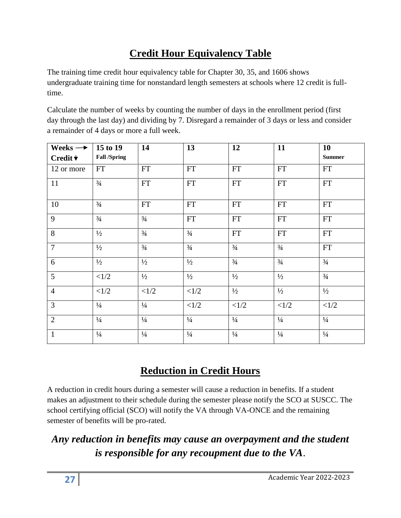# **Credit Hour Equivalency Table**

The training time credit hour equivalency table for Chapter 30, 35, and 1606 shows undergraduate training time for nonstandard length semesters at schools where 12 credit is fulltime.

Calculate the number of weeks by counting the number of days in the enrollment period (first day through the last day) and dividing by 7. Disregard a remainder of 3 days or less and consider a remainder of 4 days or more a full week.

| Weeks $\rightarrow$         | 15 to 19            | 14                         | 13            | 12                         | 11                         | 10                         |
|-----------------------------|---------------------|----------------------------|---------------|----------------------------|----------------------------|----------------------------|
| Credit $\blacktriangledown$ | <b>Fall /Spring</b> |                            |               |                            |                            | <b>Summer</b>              |
| 12 or more                  | ${\rm FT}$          | $\mathop{\rm FT}\nolimits$ | FT            | ${\rm FT}$                 | $\mathop{\rm FT}\nolimits$ | FT                         |
| 11                          | $\frac{3}{4}$       | ${\rm FT}$                 | ${\rm FT}$    | $\mathop{\rm FT}\nolimits$ | ${\rm FT}$                 | ${\rm FT}$                 |
| 10                          | $\frac{3}{4}$       | $\mathop{\rm FT}\nolimits$ | FT            | FT                         | $\mathop{\rm FT}\nolimits$ | $\mathop{\rm FT}\nolimits$ |
| 9                           | $\frac{3}{4}$       | $\frac{3}{4}$              | FT            | FT                         | ${\rm FT}$                 | FT                         |
| 8                           | $\frac{1}{2}$       | $\frac{3}{4}$              | $\frac{3}{4}$ | <b>FT</b>                  | FT                         | FT                         |
| $\overline{7}$              | $\frac{1}{2}$       | $\frac{3}{4}$              | $\frac{3}{4}$ | $\frac{3}{4}$              | $\frac{3}{4}$              | $\mathop{\rm FT}\nolimits$ |
| 6                           | $\frac{1}{2}$       | $\frac{1}{2}$              | $\frac{1}{2}$ | $\frac{3}{4}$              | $\frac{3}{4}$              | $\frac{3}{4}$              |
| $\overline{5}$              | <1/2                | $\frac{1}{2}$              | $\frac{1}{2}$ | $\frac{1}{2}$              | $\frac{1}{2}$              | $\frac{3}{4}$              |
| $\overline{4}$              | <1/2                | <1/2                       | <1/2          | $\frac{1}{2}$              | $\frac{1}{2}$              | $\frac{1}{2}$              |
| $\overline{3}$              | $\frac{1}{4}$       | $\frac{1}{4}$              | <1/2          | <1/2                       | <1/2                       | <1/2                       |
| $\overline{2}$              | $\frac{1}{4}$       | $\frac{1}{4}$              | $\frac{1}{4}$ | $\frac{1}{4}$              | $\frac{1}{4}$              | $\frac{1}{4}$              |
| $\mathbf{1}$                | $\frac{1}{4}$       | $\frac{1}{4}$              | $\frac{1}{4}$ | $\frac{1}{4}$              | $\frac{1}{4}$              | $\frac{1}{4}$              |

# **Reduction in Credit Hours**

A reduction in credit hours during a semester will cause a reduction in benefits. If a student makes an adjustment to their schedule during the semester please notify the SCO at SUSCC. The school certifying official (SCO) will notify the VA through VA-ONCE and the remaining semester of benefits will be pro-rated.

# *Any reduction in benefits may cause an overpayment and the student is responsible for any recoupment due to the VA*.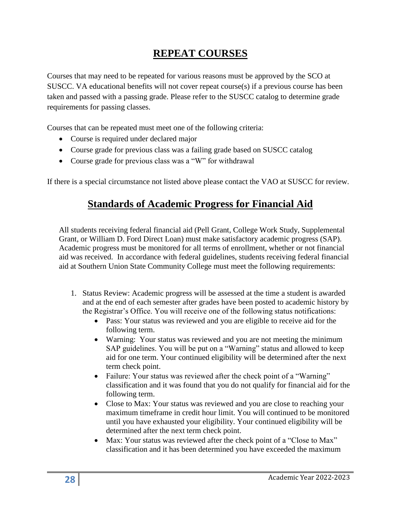## **REPEAT COURSES**

Courses that may need to be repeated for various reasons must be approved by the SCO at SUSCC. VA educational benefits will not cover repeat course(s) if a previous course has been taken and passed with a passing grade. Please refer to the SUSCC catalog to determine grade requirements for passing classes.

Courses that can be repeated must meet one of the following criteria:

- Course is required under declared major
- Course grade for previous class was a failing grade based on SUSCC catalog
- Course grade for previous class was a "W" for withdrawal

If there is a special circumstance not listed above please contact the VAO at SUSCC for review.

#### **Standards of Academic Progress for Financial Aid**

All students receiving federal financial aid (Pell Grant, College Work Study, Supplemental Grant, or William D. Ford Direct Loan) must make satisfactory academic progress (SAP). Academic progress must be monitored for all terms of enrollment, whether or not financial aid was received. In accordance with federal guidelines, students receiving federal financial aid at Southern Union State Community College must meet the following requirements:

- 1. Status Review: Academic progress will be assessed at the time a student is awarded and at the end of each semester after grades have been posted to academic history by the Registrar's Office. You will receive one of the following status notifications:
	- Pass: Your status was reviewed and you are eligible to receive aid for the following term.
	- Warning: Your status was reviewed and you are not meeting the minimum SAP guidelines. You will be put on a "Warning" status and allowed to keep aid for one term. Your continued eligibility will be determined after the next term check point.
	- Failure: Your status was reviewed after the check point of a "Warning" classification and it was found that you do not qualify for financial aid for the following term.
	- Close to Max: Your status was reviewed and you are close to reaching your maximum timeframe in credit hour limit. You will continued to be monitored until you have exhausted your eligibility. Your continued eligibility will be determined after the next term check point.
	- Max: Your status was reviewed after the check point of a "Close to Max" classification and it has been determined you have exceeded the maximum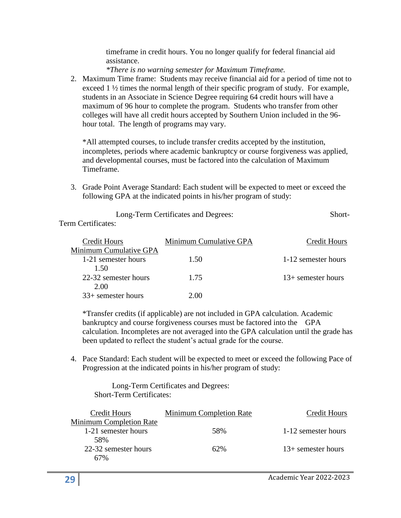timeframe in credit hours. You no longer qualify for federal financial aid assistance.

*\*There is no warning semester for Maximum Timeframe.*

2. Maximum Time frame: Students may receive financial aid for a period of time not to exceed 1 ½ times the normal length of their specific program of study. For example, students in an Associate in Science Degree requiring 64 credit hours will have a maximum of 96 hour to complete the program. Students who transfer from other colleges will have all credit hours accepted by Southern Union included in the 96 hour total. The length of programs may vary.

\*All attempted courses, to include transfer credits accepted by the institution, incompletes, periods where academic bankruptcy or course forgiveness was applied, and developmental courses, must be factored into the calculation of Maximum Timeframe.

3. Grade Point Average Standard: Each student will be expected to meet or exceed the following GPA at the indicated points in his/her program of study:

| Long-Term Certificates and Degrees: | Short- |
|-------------------------------------|--------|
| Term Certificates:                  |        |

| Credit Hours           | Minimum Cumulative GPA | Credit Hours         |
|------------------------|------------------------|----------------------|
| Minimum Cumulative GPA |                        |                      |
| 1-21 semester hours    | 1.50                   | 1-12 semester hours  |
| 1.50                   |                        |                      |
| 22-32 semester hours   | 1.75                   | $13+$ semester hours |
| 2.00                   |                        |                      |
| $33+$ semester hours   | 2.00                   |                      |

\*Transfer credits (if applicable) are not included in GPA calculation. Academic bankruptcy and course forgiveness courses must be factored into the GPA calculation. Incompletes are not averaged into the GPA calculation until the grade has been updated to reflect the student's actual grade for the course.

4. Pace Standard: Each student will be expected to meet or exceed the following Pace of Progression at the indicated points in his/her program of study:

 Long-Term Certificates and Degrees: Short-Term Certificates:

| Credit Hours                   | Minimum Completion Rate | Credit Hours         |
|--------------------------------|-------------------------|----------------------|
| <b>Minimum Completion Rate</b> |                         |                      |
| 1-21 semester hours            | 58%                     | 1-12 semester hours  |
| 58%                            |                         |                      |
| 22-32 semester hours           | 62%                     | $13+$ semester hours |
| 67%                            |                         |                      |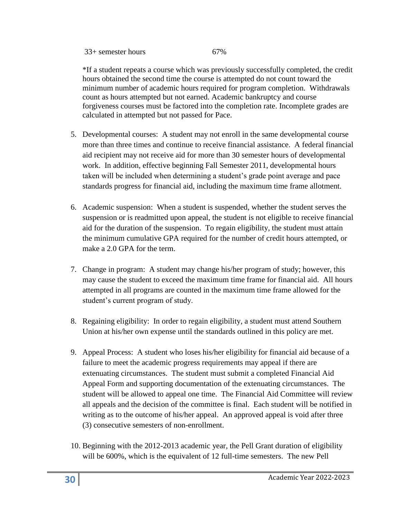#### $33+$  semester hours 67%

\*If a student repeats a course which was previously successfully completed, the credit hours obtained the second time the course is attempted do not count toward the minimum number of academic hours required for program completion. Withdrawals count as hours attempted but not earned. Academic bankruptcy and course forgiveness courses must be factored into the completion rate. Incomplete grades are calculated in attempted but not passed for Pace.

- 5. Developmental courses: A student may not enroll in the same developmental course more than three times and continue to receive financial assistance. A federal financial aid recipient may not receive aid for more than 30 semester hours of developmental work. In addition, effective beginning Fall Semester 2011, developmental hours taken will be included when determining a student's grade point average and pace standards progress for financial aid, including the maximum time frame allotment.
- 6. Academic suspension: When a student is suspended, whether the student serves the suspension or is readmitted upon appeal, the student is not eligible to receive financial aid for the duration of the suspension. To regain eligibility, the student must attain the minimum cumulative GPA required for the number of credit hours attempted, or make a 2.0 GPA for the term.
- 7. Change in program: A student may change his/her program of study; however, this may cause the student to exceed the maximum time frame for financial aid. All hours attempted in all programs are counted in the maximum time frame allowed for the student's current program of study.
- 8. Regaining eligibility: In order to regain eligibility, a student must attend Southern Union at his/her own expense until the standards outlined in this policy are met.
- 9. Appeal Process: A student who loses his/her eligibility for financial aid because of a failure to meet the academic progress requirements may appeal if there are extenuating circumstances. The student must submit a completed Financial Aid Appeal Form and supporting documentation of the extenuating circumstances. The student will be allowed to appeal one time. The Financial Aid Committee will review all appeals and the decision of the committee is final. Each student will be notified in writing as to the outcome of his/her appeal. An approved appeal is void after three (3) consecutive semesters of non-enrollment.
- 10. Beginning with the 2012-2013 academic year, the Pell Grant duration of eligibility will be 600%, which is the equivalent of 12 full-time semesters. The new Pell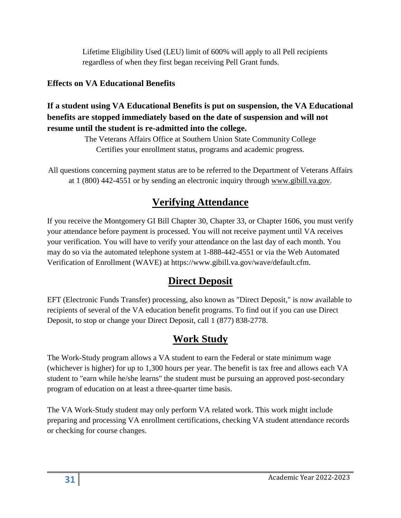Lifetime Eligibility Used (LEU) limit of 600% will apply to all Pell recipients regardless of when they first began receiving Pell Grant funds.

#### **Effects on VA Educational Benefits**

#### **If a student using VA Educational Benefits is put on suspension, the VA Educational benefits are stopped immediately based on the date of suspension and will not resume until the student is re-admitted into the college.**

The Veterans Affairs Office at Southern Union State Community College Certifies your enrollment status, programs and academic progress.

All questions concerning payment status are to be referred to the Department of Veterans Affairs at 1 (800) 442-4551 or by sending an electronic inquiry through [www.gibill.va.gov.](http://www.gibill.va.gov/)

## **Verifying Attendance**

If you receive the Montgomery GI Bill Chapter 30, Chapter 33, or Chapter 1606, you must verify your attendance before payment is processed. You will not receive payment until VA receives your verification. You will have to verify your attendance on the last day of each month. You may do so via the automated telephone system at 1-888-442-4551 or via the Web Automated Verification of Enrollment (WAVE) at https://www.gibill.va.gov/wave/default.cfm.

## **Direct Deposit**

EFT (Electronic Funds Transfer) processing, also known as "Direct Deposit," is now available to recipients of several of the VA education benefit programs. To find out if you can use Direct Deposit, to stop or change your Direct Deposit, call 1 (877) 838-2778.

## **Work Study**

The Work-Study program allows a VA student to earn the Federal or state minimum wage (whichever is higher) for up to 1,300 hours per year. The benefit is tax free and allows each VA student to "earn while he/she learns" the student must be pursuing an approved post-secondary program of education on at least a three-quarter time basis.

The VA Work-Study student may only perform VA related work. This work might include preparing and processing VA enrollment certifications, checking VA student attendance records or checking for course changes.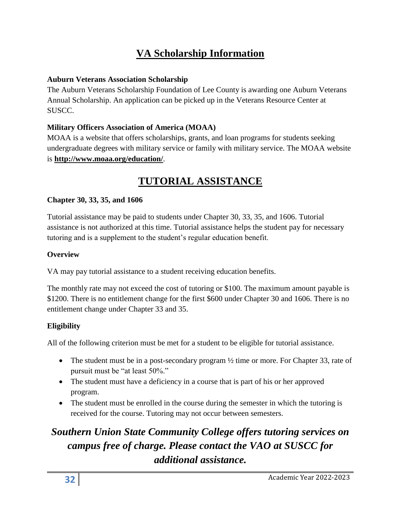# **VA Scholarship Information**

#### **Auburn Veterans Association Scholarship**

The Auburn Veterans Scholarship Foundation of Lee County is awarding one Auburn Veterans Annual Scholarship. An application can be picked up in the Veterans Resource Center at SUSCC.

#### **Military Officers Association of America (MOAA)**

MOAA is a website that offers scholarships, grants, and loan programs for students seeking undergraduate degrees with military service or family with military service. The MOAA website is **<http://www.moaa.org/education/>**.

## **TUTORIAL ASSISTANCE**

#### **Chapter 30, 33, 35, and 1606**

Tutorial assistance may be paid to students under Chapter 30, 33, 35, and 1606. Tutorial assistance is not authorized at this time. Tutorial assistance helps the student pay for necessary tutoring and is a supplement to the student's regular education benefit.

#### **Overview**

VA may pay tutorial assistance to a student receiving education benefits.

The monthly rate may not exceed the cost of tutoring or \$100. The maximum amount payable is \$1200. There is no entitlement change for the first \$600 under Chapter 30 and 1606. There is no entitlement change under Chapter 33 and 35.

#### **Eligibility**

All of the following criterion must be met for a student to be eligible for tutorial assistance.

- The student must be in a post-secondary program  $\frac{1}{2}$  time or more. For Chapter 33, rate of pursuit must be "at least 50%."
- The student must have a deficiency in a course that is part of his or her approved program.
- The student must be enrolled in the course during the semester in which the tutoring is received for the course. Tutoring may not occur between semesters.

# *Southern Union State Community College offers tutoring services on campus free of charge. Please contact the VAO at SUSCC for additional assistance.*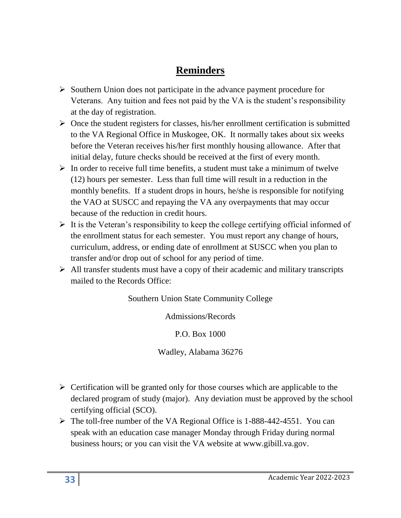## **Reminders**

- ➢ Southern Union does not participate in the advance payment procedure for Veterans. Any tuition and fees not paid by the VA is the student's responsibility at the day of registration.
- $\triangleright$  Once the student registers for classes, his/her enrollment certification is submitted to the VA Regional Office in Muskogee, OK. It normally takes about six weeks before the Veteran receives his/her first monthly housing allowance. After that initial delay, future checks should be received at the first of every month.
- $\triangleright$  In order to receive full time benefits, a student must take a minimum of twelve (12) hours per semester. Less than full time will result in a reduction in the monthly benefits. If a student drops in hours, he/she is responsible for notifying the VAO at SUSCC and repaying the VA any overpayments that may occur because of the reduction in credit hours.
- $\triangleright$  It is the Veteran's responsibility to keep the college certifying official informed of the enrollment status for each semester. You must report any change of hours, curriculum, address, or ending date of enrollment at SUSCC when you plan to transfer and/or drop out of school for any period of time.
- $\triangleright$  All transfer students must have a copy of their academic and military transcripts mailed to the Records Office:

Southern Union State Community College

Admissions/Records

P.O. Box 1000

Wadley, Alabama 36276

- $\triangleright$  Certification will be granted only for those courses which are applicable to the declared program of study (major). Any deviation must be approved by the school certifying official (SCO).
- ➢ The toll-free number of the VA Regional Office is 1-888-442-4551. You can speak with an education case manager Monday through Friday during normal business hours; or you can visit the VA website at www.gibill.va.gov.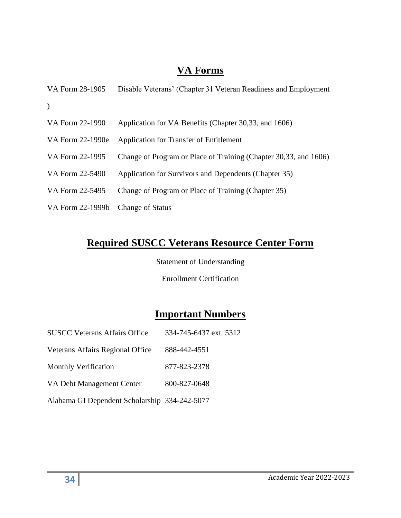#### **VA Forms**

| VA Form 28-1905  | Disable Veterans' (Chapter 31 Veteran Readiness and Employment   |
|------------------|------------------------------------------------------------------|
| $\lambda$        |                                                                  |
| VA Form 22-1990  | Application for VA Benefits (Chapter 30,33, and 1606)            |
| VA Form 22-1990e | Application for Transfer of Entitlement                          |
| VA Form 22-1995  | Change of Program or Place of Training (Chapter 30,33, and 1606) |
| VA Form 22-5490  | Application for Survivors and Dependents (Chapter 35)            |
| VA Form 22-5495  | Change of Program or Place of Training (Chapter 35)              |
| VA Form 22-1999b | <b>Change of Status</b>                                          |

## **Required SUSCC Veterans Resource Center Form**

Statement of Understanding

Enrollment Certification

#### **Important Numbers**

| <b>SUSCC Veterans Affairs Office</b>          | 334-745-6437 ext. 5312 |
|-----------------------------------------------|------------------------|
| Veterans Affairs Regional Office              | 888-442-4551           |
| <b>Monthly Verification</b>                   | 877-823-2378           |
| VA Debt Management Center                     | 800-827-0648           |
| Alabama GI Dependent Scholarship 334-242-5077 |                        |